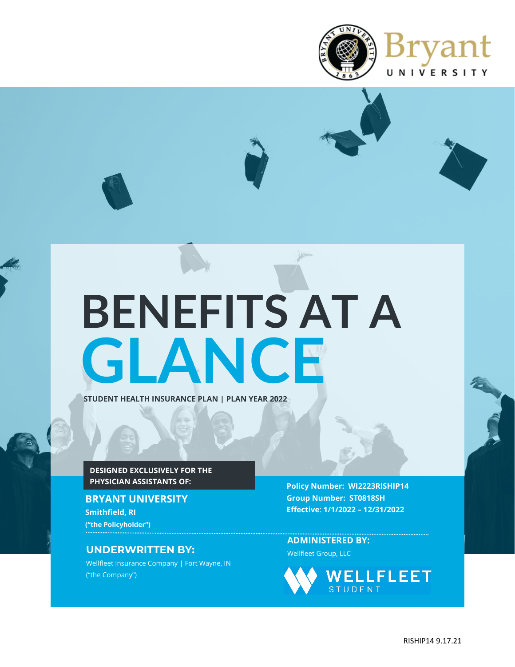

# **GLANCE BENEFITS AT A**

**STUDENT HEALTH INSURANCE PLAN | PLAN YEAR 2022**

**DESIGNED EXCLUSIVELY FOR THE PHYSICIAN ASSISTANTS OF:**

**BRYANT UNIVERSITY Smithfield, RI ("the Policyholder")**

## **UNDERWRITTEN BY:** Wellfleet Group, LLC

Wellfleet Insurance Company | Fort Wayne, IN ("the Company")

**Policy Number: WI2223RISHIP14 Group Number: ST0818SH Effective**: **1/1/2022 – 12/31/2022**

**ADMINISTERED BY:**

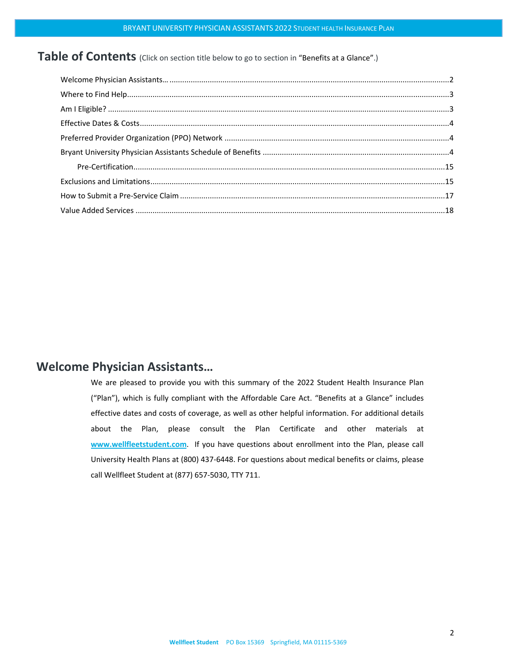## Table of Contents (Click on section title below to go to section in "Benefits at a Glance".)

## <span id="page-1-0"></span>**Welcome Physician Assistants…**

We are pleased to provide you with this summary of the 2022 Student Health Insurance Plan ("Plan"), which is fully compliant with the Affordable Care Act. "Benefits at a Glance" includes effective dates and costs of coverage, as well as other helpful information. For additional details about the Plan, please consult the Plan Certificate and other materials at **[www.wellfleetstudent.com](http://www.chpstudenthealth.com/)**. If you have questions about enrollment into the Plan, please call University Health Plans at (800) 437-6448. For questions about medical benefits or claims, please call Wellfleet Student at (877) 657-5030, TTY 711.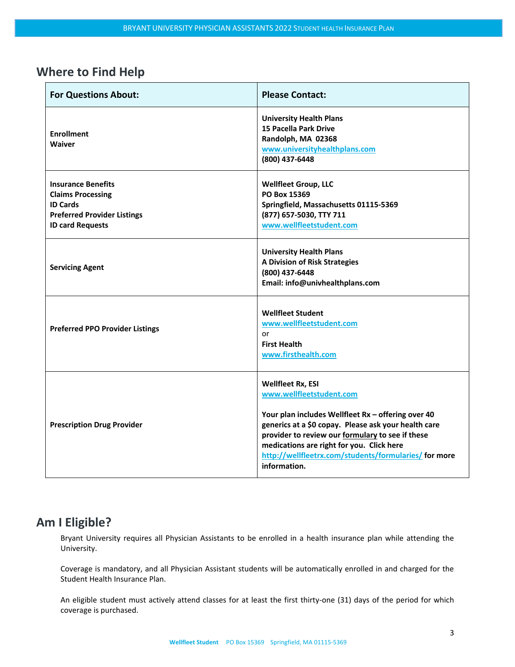# <span id="page-2-0"></span>**Where to Find Help**

| <b>For Questions About:</b>                                                                                                               | <b>Please Contact:</b>                                                                                                                                                                                                                                                                                                                       |
|-------------------------------------------------------------------------------------------------------------------------------------------|----------------------------------------------------------------------------------------------------------------------------------------------------------------------------------------------------------------------------------------------------------------------------------------------------------------------------------------------|
| <b>Enrollment</b><br><b>Waiver</b>                                                                                                        | <b>University Health Plans</b><br><b>15 Pacella Park Drive</b><br>Randolph, MA 02368<br>www.universityhealthplans.com<br>(800) 437-6448                                                                                                                                                                                                      |
| <b>Insurance Benefits</b><br><b>Claims Processing</b><br><b>ID Cards</b><br><b>Preferred Provider Listings</b><br><b>ID card Requests</b> | <b>Wellfleet Group, LLC</b><br>PO Box 15369<br>Springfield, Massachusetts 01115-5369<br>(877) 657-5030, TTY 711<br>www.wellfleetstudent.com                                                                                                                                                                                                  |
| <b>Servicing Agent</b>                                                                                                                    | <b>University Health Plans</b><br>A Division of Risk Strategies<br>(800) 437-6448<br>Email: info@univhealthplans.com                                                                                                                                                                                                                         |
| <b>Preferred PPO Provider Listings</b>                                                                                                    | <b>Wellfleet Student</b><br>www.wellfleetstudent.com<br>or<br><b>First Health</b><br>www.firsthealth.com                                                                                                                                                                                                                                     |
| <b>Prescription Drug Provider</b>                                                                                                         | <b>Wellfleet Rx, ESI</b><br>www.wellfleetstudent.com<br>Your plan includes Wellfleet Rx - offering over 40<br>generics at a \$0 copay. Please ask your health care<br>provider to review our formulary to see if these<br>medications are right for you. Click here<br>http://wellfleetrx.com/students/formularies/ for more<br>information. |

# <span id="page-2-1"></span>**Am I Eligible?**

Bryant University requires all Physician Assistants to be enrolled in a health insurance plan while attending the University.

Coverage is mandatory, and all Physician Assistant students will be automatically enrolled in and charged for the Student Health Insurance Plan.

An eligible student must actively attend classes for at least the first thirty-one (31) days of the period for which coverage is purchased.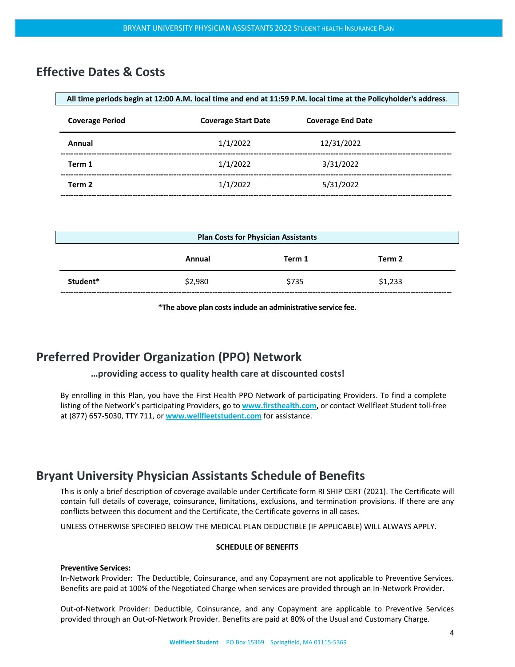## <span id="page-3-0"></span>**Effective Dates & Costs**

| All time periods begin at 12:00 A.M. local time and end at 11:59 P.M. local time at the Policyholder's address. |                            |                          |  |
|-----------------------------------------------------------------------------------------------------------------|----------------------------|--------------------------|--|
| <b>Coverage Period</b>                                                                                          | <b>Coverage Start Date</b> | <b>Coverage End Date</b> |  |
| Annual                                                                                                          | 1/1/2022                   | 12/31/2022               |  |
| Term 1                                                                                                          | 1/1/2022                   | 3/31/2022                |  |
| Term 2                                                                                                          | 1/1/2022                   | 5/31/2022                |  |
|                                                                                                                 |                            |                          |  |

| <b>Plan Costs for Physician Assistants</b> |         |        |         |  |
|--------------------------------------------|---------|--------|---------|--|
|                                            | Annual  | Term 1 | Term 2  |  |
| Student*                                   | \$2,980 | \$735  | \$1,233 |  |

**\*The above plan costsinclude an administrative service fee.**

## <span id="page-3-1"></span>**Preferred Provider Organization (PPO) Network**

#### **…providing access to quality health care at discounted costs!**

By enrolling in this Plan, you have the First Health PPO Network of participating Providers. To find a complete listing of the Network's participating Providers, go to **[www.firsthealth.com,](http://www.firsthealth.com/)** or contact Wellfleet Student toll-free at (877) 657-5030, TTY 711, or **[www.wellfleetstudent.com](http://www.chpstudenthealth.com/)** for assistance.

## <span id="page-3-2"></span>**Bryant University Physician Assistants Schedule of Benefits**

This is only a brief description of coverage available under Certificate form RI SHIP CERT (2021). The Certificate will contain full details of coverage, coinsurance, limitations, exclusions, and termination provisions. If there are any conflicts between this document and the Certificate, the Certificate governs in all cases.

UNLESS OTHERWISE SPECIFIED BELOW THE MEDICAL PLAN DEDUCTIBLE (IF APPLICABLE) WILL ALWAYS APPLY.

#### **SCHEDULE OF BENEFITS**

#### **Preventive Services:**

In-Network Provider: The Deductible, Coinsurance, and any Copayment are not applicable to Preventive Services. Benefits are paid at 100% of the Negotiated Charge when services are provided through an In-Network Provider.

Out-of-Network Provider: Deductible, Coinsurance, and any Copayment are applicable to Preventive Services provided through an Out-of-Network Provider. Benefits are paid at 80% of the Usual and Customary Charge.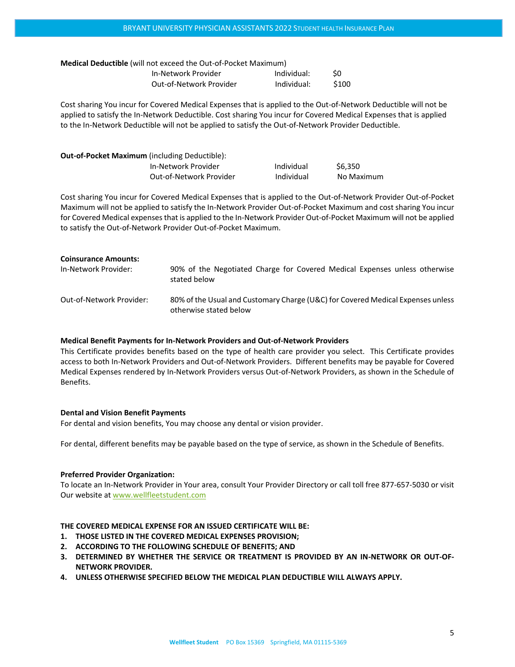| <b>Medical Deductible</b> (will not exceed the Out-of-Pocket Maximum) |                         |             |       |
|-----------------------------------------------------------------------|-------------------------|-------------|-------|
|                                                                       | In-Network Provider     | Individual: | S0    |
|                                                                       | Out-of-Network Provider | Individual: | \$100 |

Cost sharing You incur for Covered Medical Expenses that is applied to the Out-of-Network Deductible will not be applied to satisfy the In-Network Deductible. Cost sharing You incur for Covered Medical Expenses that is applied to the In-Network Deductible will not be applied to satisfy the Out-of-Network Provider Deductible.

| <b>Out-of-Pocket Maximum</b> (including Deductible): |                         |            |            |
|------------------------------------------------------|-------------------------|------------|------------|
|                                                      | In-Network Provider     | Individual | \$6.350    |
|                                                      | Out-of-Network Provider | Individual | No Maximum |

Cost sharing You incur for Covered Medical Expenses that is applied to the Out-of-Network Provider Out-of-Pocket Maximum will not be applied to satisfy the In-Network Provider Out-of-Pocket Maximum and cost sharing You incur for Covered Medical expenses that is applied to the In-Network Provider Out-of-Pocket Maximum will not be applied to satisfy the Out-of-Network Provider Out-of-Pocket Maximum.

| <b>Coinsurance Amounts:</b> |                                                                                                           |
|-----------------------------|-----------------------------------------------------------------------------------------------------------|
| In-Network Provider:        | 90% of the Negotiated Charge for Covered Medical Expenses unless otherwise<br>stated below                |
| Out-of-Network Provider:    | 80% of the Usual and Customary Charge (U&C) for Covered Medical Expenses unless<br>otherwise stated below |

#### **Medical Benefit Payments for In-Network Providers and Out-of-Network Providers**

This Certificate provides benefits based on the type of health care provider you select. This Certificate provides access to both In-Network Providers and Out-of-Network Providers. Different benefits may be payable for Covered Medical Expenses rendered by In-Network Providers versus Out-of-Network Providers, as shown in the Schedule of Benefits.

#### **Dental and Vision Benefit Payments**

For dental and vision benefits, You may choose any dental or vision provider.

For dental, different benefits may be payable based on the type of service, as shown in the Schedule of Benefits.

#### **Preferred Provider Organization:**

To locate an In-Network Provider in Your area, consult Your Provider Directory or call toll free 877-657-5030 or visit Our website at [www.wellfleetstudent.com](http://www.wellfleetstudent.com/)

#### **THE COVERED MEDICAL EXPENSE FOR AN ISSUED CERTIFICATE WILL BE:**

- **1. THOSE LISTED IN THE COVERED MEDICAL EXPENSES PROVISION;**
- **2. ACCORDING TO THE FOLLOWING SCHEDULE OF BENEFITS; AND**
- **3. DETERMINED BY WHETHER THE SERVICE OR TREATMENT IS PROVIDED BY AN IN-NETWORK OR OUT-OF-NETWORK PROVIDER.**
- **4. UNLESS OTHERWISE SPECIFIED BELOW THE MEDICAL PLAN DEDUCTIBLE WILL ALWAYS APPLY.**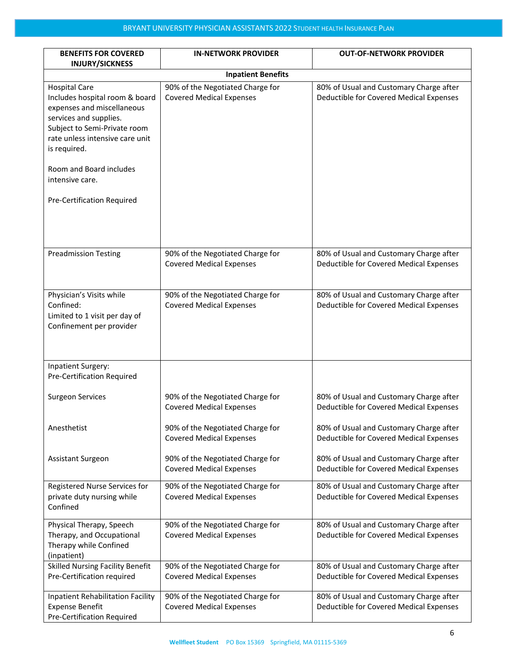| <b>BENEFITS FOR COVERED</b>                                                                                                                                                                                                                                                   | <b>IN-NETWORK PROVIDER</b>                                          | <b>OUT-OF-NETWORK PROVIDER</b>                                                     |  |
|-------------------------------------------------------------------------------------------------------------------------------------------------------------------------------------------------------------------------------------------------------------------------------|---------------------------------------------------------------------|------------------------------------------------------------------------------------|--|
| <b>INJURY/SICKNESS</b><br><b>Inpatient Benefits</b>                                                                                                                                                                                                                           |                                                                     |                                                                                    |  |
| <b>Hospital Care</b><br>Includes hospital room & board<br>expenses and miscellaneous<br>services and supplies.<br>Subject to Semi-Private room<br>rate unless intensive care unit<br>is required.<br>Room and Board includes<br>intensive care.<br>Pre-Certification Required | 90% of the Negotiated Charge for<br><b>Covered Medical Expenses</b> | 80% of Usual and Customary Charge after<br>Deductible for Covered Medical Expenses |  |
|                                                                                                                                                                                                                                                                               |                                                                     |                                                                                    |  |
| <b>Preadmission Testing</b>                                                                                                                                                                                                                                                   | 90% of the Negotiated Charge for<br><b>Covered Medical Expenses</b> | 80% of Usual and Customary Charge after<br>Deductible for Covered Medical Expenses |  |
| Physician's Visits while<br>Confined:<br>Limited to 1 visit per day of<br>Confinement per provider                                                                                                                                                                            | 90% of the Negotiated Charge for<br><b>Covered Medical Expenses</b> | 80% of Usual and Customary Charge after<br>Deductible for Covered Medical Expenses |  |
| <b>Inpatient Surgery:</b><br>Pre-Certification Required                                                                                                                                                                                                                       |                                                                     |                                                                                    |  |
| <b>Surgeon Services</b>                                                                                                                                                                                                                                                       | 90% of the Negotiated Charge for<br><b>Covered Medical Expenses</b> | 80% of Usual and Customary Charge after<br>Deductible for Covered Medical Expenses |  |
| Anesthetist                                                                                                                                                                                                                                                                   | 90% of the Negotiated Charge for<br><b>Covered Medical Expenses</b> | 80% of Usual and Customary Charge after<br>Deductible for Covered Medical Expenses |  |
| <b>Assistant Surgeon</b>                                                                                                                                                                                                                                                      | 90% of the Negotiated Charge for<br><b>Covered Medical Expenses</b> | 80% of Usual and Customary Charge after<br>Deductible for Covered Medical Expenses |  |
| Registered Nurse Services for<br>private duty nursing while<br>Confined                                                                                                                                                                                                       | 90% of the Negotiated Charge for<br><b>Covered Medical Expenses</b> | 80% of Usual and Customary Charge after<br>Deductible for Covered Medical Expenses |  |
| Physical Therapy, Speech<br>Therapy, and Occupational<br>Therapy while Confined<br>(inpatient)                                                                                                                                                                                | 90% of the Negotiated Charge for<br><b>Covered Medical Expenses</b> | 80% of Usual and Customary Charge after<br>Deductible for Covered Medical Expenses |  |
| <b>Skilled Nursing Facility Benefit</b><br>Pre-Certification required                                                                                                                                                                                                         | 90% of the Negotiated Charge for<br><b>Covered Medical Expenses</b> | 80% of Usual and Customary Charge after<br>Deductible for Covered Medical Expenses |  |
| Inpatient Rehabilitation Facility<br><b>Expense Benefit</b><br><b>Pre-Certification Required</b>                                                                                                                                                                              | 90% of the Negotiated Charge for<br><b>Covered Medical Expenses</b> | 80% of Usual and Customary Charge after<br>Deductible for Covered Medical Expenses |  |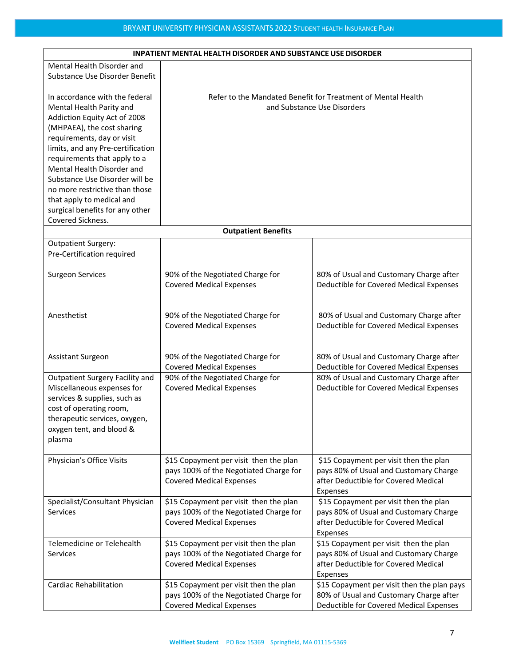| <b>INPATIENT MENTAL HEALTH DISORDER AND SUBSTANCE USE DISORDER</b> |                                                                           |                                                              |  |
|--------------------------------------------------------------------|---------------------------------------------------------------------------|--------------------------------------------------------------|--|
| Mental Health Disorder and                                         |                                                                           |                                                              |  |
| Substance Use Disorder Benefit                                     |                                                                           |                                                              |  |
|                                                                    |                                                                           |                                                              |  |
| In accordance with the federal                                     |                                                                           | Refer to the Mandated Benefit for Treatment of Mental Health |  |
| Mental Health Parity and                                           |                                                                           | and Substance Use Disorders                                  |  |
| Addiction Equity Act of 2008                                       |                                                                           |                                                              |  |
| (MHPAEA), the cost sharing                                         |                                                                           |                                                              |  |
| requirements, day or visit                                         |                                                                           |                                                              |  |
| limits, and any Pre-certification                                  |                                                                           |                                                              |  |
| requirements that apply to a                                       |                                                                           |                                                              |  |
| Mental Health Disorder and                                         |                                                                           |                                                              |  |
| Substance Use Disorder will be                                     |                                                                           |                                                              |  |
| no more restrictive than those                                     |                                                                           |                                                              |  |
| that apply to medical and                                          |                                                                           |                                                              |  |
| surgical benefits for any other                                    |                                                                           |                                                              |  |
| Covered Sickness.                                                  |                                                                           |                                                              |  |
|                                                                    | <b>Outpatient Benefits</b>                                                |                                                              |  |
| <b>Outpatient Surgery:</b>                                         |                                                                           |                                                              |  |
| Pre-Certification required                                         |                                                                           |                                                              |  |
|                                                                    |                                                                           |                                                              |  |
| <b>Surgeon Services</b>                                            | 90% of the Negotiated Charge for                                          | 80% of Usual and Customary Charge after                      |  |
|                                                                    | <b>Covered Medical Expenses</b>                                           | Deductible for Covered Medical Expenses                      |  |
|                                                                    |                                                                           |                                                              |  |
|                                                                    |                                                                           |                                                              |  |
| Anesthetist                                                        | 90% of the Negotiated Charge for                                          | 80% of Usual and Customary Charge after                      |  |
|                                                                    | <b>Covered Medical Expenses</b>                                           | Deductible for Covered Medical Expenses                      |  |
|                                                                    |                                                                           |                                                              |  |
|                                                                    |                                                                           |                                                              |  |
| Assistant Surgeon                                                  | 90% of the Negotiated Charge for                                          | 80% of Usual and Customary Charge after                      |  |
|                                                                    | <b>Covered Medical Expenses</b>                                           | Deductible for Covered Medical Expenses                      |  |
| Outpatient Surgery Facility and                                    | 90% of the Negotiated Charge for                                          | 80% of Usual and Customary Charge after                      |  |
| Miscellaneous expenses for                                         | <b>Covered Medical Expenses</b>                                           | Deductible for Covered Medical Expenses                      |  |
| services & supplies, such as                                       |                                                                           |                                                              |  |
| cost of operating room,                                            |                                                                           |                                                              |  |
| therapeutic services, oxygen,                                      |                                                                           |                                                              |  |
| oxygen tent, and blood &                                           |                                                                           |                                                              |  |
|                                                                    |                                                                           |                                                              |  |
| plasma                                                             |                                                                           |                                                              |  |
| Physician's Office Visits                                          | \$15 Copayment per visit then the plan                                    | \$15 Copayment per visit then the plan                       |  |
|                                                                    | pays 100% of the Negotiated Charge for                                    | pays 80% of Usual and Customary Charge                       |  |
|                                                                    | <b>Covered Medical Expenses</b>                                           | after Deductible for Covered Medical                         |  |
|                                                                    |                                                                           |                                                              |  |
|                                                                    |                                                                           | Expenses<br>\$15 Copayment per visit then the plan           |  |
| Specialist/Consultant Physician<br><b>Services</b>                 | \$15 Copayment per visit then the plan                                    | pays 80% of Usual and Customary Charge                       |  |
|                                                                    | pays 100% of the Negotiated Charge for<br><b>Covered Medical Expenses</b> | after Deductible for Covered Medical                         |  |
|                                                                    |                                                                           |                                                              |  |
|                                                                    |                                                                           | Expenses                                                     |  |
| Telemedicine or Telehealth                                         | \$15 Copayment per visit then the plan                                    | \$15 Copayment per visit then the plan                       |  |
| <b>Services</b>                                                    | pays 100% of the Negotiated Charge for                                    | pays 80% of Usual and Customary Charge                       |  |
|                                                                    | <b>Covered Medical Expenses</b>                                           | after Deductible for Covered Medical                         |  |
|                                                                    |                                                                           | Expenses                                                     |  |
| <b>Cardiac Rehabilitation</b>                                      | \$15 Copayment per visit then the plan                                    | \$15 Copayment per visit then the plan pays                  |  |
|                                                                    | pays 100% of the Negotiated Charge for                                    | 80% of Usual and Customary Charge after                      |  |
|                                                                    | <b>Covered Medical Expenses</b>                                           | Deductible for Covered Medical Expenses                      |  |

#### **INPATIENT MENTAL HEALTH DISORDER AND SUBSTANCE USE DISORDER**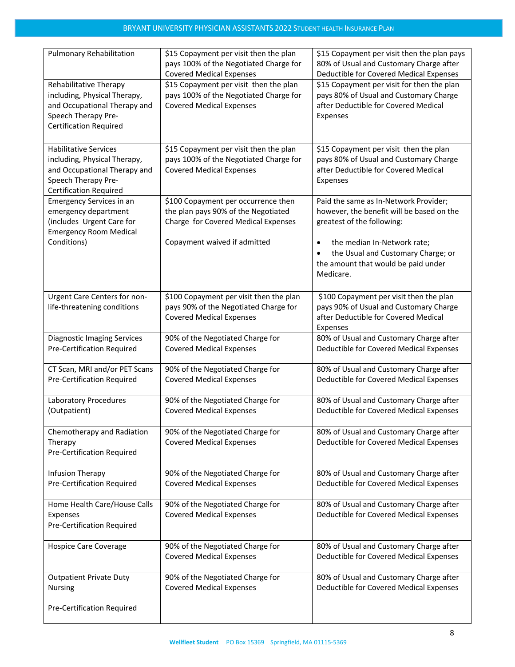| <b>Pulmonary Rehabilitation</b>                                                                                                                      | \$15 Copayment per visit then the plan<br>pays 100% of the Negotiated Charge for<br><b>Covered Medical Expenses</b> | \$15 Copayment per visit then the plan pays<br>80% of Usual and Customary Charge after<br>Deductible for Covered Medical Expenses        |
|------------------------------------------------------------------------------------------------------------------------------------------------------|---------------------------------------------------------------------------------------------------------------------|------------------------------------------------------------------------------------------------------------------------------------------|
| Rehabilitative Therapy<br>including, Physical Therapy,<br>and Occupational Therapy and<br>Speech Therapy Pre-<br><b>Certification Required</b>       | \$15 Copayment per visit then the plan<br>pays 100% of the Negotiated Charge for<br><b>Covered Medical Expenses</b> | \$15 Copayment per visit for then the plan<br>pays 80% of Usual and Customary Charge<br>after Deductible for Covered Medical<br>Expenses |
| <b>Habilitative Services</b><br>including, Physical Therapy,<br>and Occupational Therapy and<br>Speech Therapy Pre-<br><b>Certification Required</b> | \$15 Copayment per visit then the plan<br>pays 100% of the Negotiated Charge for<br><b>Covered Medical Expenses</b> | \$15 Copayment per visit then the plan<br>pays 80% of Usual and Customary Charge<br>after Deductible for Covered Medical<br>Expenses     |
| <b>Emergency Services in an</b><br>emergency department<br>(includes Urgent Care for<br><b>Emergency Room Medical</b>                                | \$100 Copayment per occurrence then<br>the plan pays 90% of the Negotiated<br>Charge for Covered Medical Expenses   | Paid the same as In-Network Provider;<br>however, the benefit will be based on the<br>greatest of the following:                         |
| Conditions)                                                                                                                                          | Copayment waived if admitted                                                                                        | the median In-Network rate;<br>$\bullet$<br>the Usual and Customary Charge; or<br>the amount that would be paid under<br>Medicare.       |
| Urgent Care Centers for non-<br>life-threatening conditions                                                                                          | \$100 Copayment per visit then the plan<br>pays 90% of the Negotiated Charge for<br><b>Covered Medical Expenses</b> | \$100 Copayment per visit then the plan<br>pays 90% of Usual and Customary Charge<br>after Deductible for Covered Medical<br>Expenses    |
| <b>Diagnostic Imaging Services</b><br>Pre-Certification Required                                                                                     | 90% of the Negotiated Charge for<br><b>Covered Medical Expenses</b>                                                 | 80% of Usual and Customary Charge after<br>Deductible for Covered Medical Expenses                                                       |
| CT Scan, MRI and/or PET Scans<br>Pre-Certification Required                                                                                          | 90% of the Negotiated Charge for<br><b>Covered Medical Expenses</b>                                                 | 80% of Usual and Customary Charge after<br>Deductible for Covered Medical Expenses                                                       |
| Laboratory Procedures<br>(Outpatient)                                                                                                                | 90% of the Negotiated Charge for<br><b>Covered Medical Expenses</b>                                                 | 80% of Usual and Customary Charge after<br>Deductible for Covered Medical Expenses                                                       |
| Chemotherapy and Radiation<br>Therapy<br><b>Pre-Certification Required</b>                                                                           | 90% of the Negotiated Charge for<br><b>Covered Medical Expenses</b>                                                 | 80% of Usual and Customary Charge after<br>Deductible for Covered Medical Expenses                                                       |
| Infusion Therapy<br><b>Pre-Certification Required</b>                                                                                                | 90% of the Negotiated Charge for<br><b>Covered Medical Expenses</b>                                                 | 80% of Usual and Customary Charge after<br>Deductible for Covered Medical Expenses                                                       |
| Home Health Care/House Calls<br>Expenses<br>Pre-Certification Required                                                                               | 90% of the Negotiated Charge for<br><b>Covered Medical Expenses</b>                                                 | 80% of Usual and Customary Charge after<br>Deductible for Covered Medical Expenses                                                       |
| <b>Hospice Care Coverage</b>                                                                                                                         | 90% of the Negotiated Charge for<br><b>Covered Medical Expenses</b>                                                 | 80% of Usual and Customary Charge after<br>Deductible for Covered Medical Expenses                                                       |
| <b>Outpatient Private Duty</b><br><b>Nursing</b>                                                                                                     | 90% of the Negotiated Charge for<br><b>Covered Medical Expenses</b>                                                 | 80% of Usual and Customary Charge after<br>Deductible for Covered Medical Expenses                                                       |
| Pre-Certification Required                                                                                                                           |                                                                                                                     |                                                                                                                                          |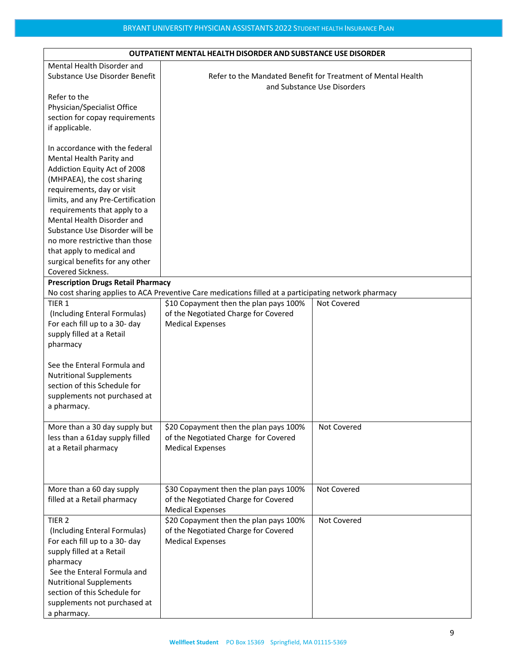| <b>OUTPATIENT MENTAL HEALTH DISORDER AND SUBSTANCE USE DISORDER</b> |                                                                                                       |                                                              |
|---------------------------------------------------------------------|-------------------------------------------------------------------------------------------------------|--------------------------------------------------------------|
| Mental Health Disorder and                                          |                                                                                                       |                                                              |
| Substance Use Disorder Benefit                                      |                                                                                                       | Refer to the Mandated Benefit for Treatment of Mental Health |
|                                                                     |                                                                                                       | and Substance Use Disorders                                  |
| Refer to the                                                        |                                                                                                       |                                                              |
| Physician/Specialist Office                                         |                                                                                                       |                                                              |
| section for copay requirements                                      |                                                                                                       |                                                              |
| if applicable.                                                      |                                                                                                       |                                                              |
|                                                                     |                                                                                                       |                                                              |
| In accordance with the federal                                      |                                                                                                       |                                                              |
| Mental Health Parity and<br>Addiction Equity Act of 2008            |                                                                                                       |                                                              |
| (MHPAEA), the cost sharing                                          |                                                                                                       |                                                              |
| requirements, day or visit                                          |                                                                                                       |                                                              |
| limits, and any Pre-Certification                                   |                                                                                                       |                                                              |
| requirements that apply to a                                        |                                                                                                       |                                                              |
| Mental Health Disorder and                                          |                                                                                                       |                                                              |
| Substance Use Disorder will be                                      |                                                                                                       |                                                              |
| no more restrictive than those                                      |                                                                                                       |                                                              |
| that apply to medical and                                           |                                                                                                       |                                                              |
| surgical benefits for any other                                     |                                                                                                       |                                                              |
| Covered Sickness.                                                   |                                                                                                       |                                                              |
| <b>Prescription Drugs Retail Pharmacy</b>                           |                                                                                                       |                                                              |
|                                                                     | No cost sharing applies to ACA Preventive Care medications filled at a participating network pharmacy |                                                              |
| TIER <sub>1</sub>                                                   | \$10 Copayment then the plan pays 100%                                                                | Not Covered                                                  |
| (Including Enteral Formulas)                                        | of the Negotiated Charge for Covered                                                                  |                                                              |
| For each fill up to a 30- day                                       | <b>Medical Expenses</b>                                                                               |                                                              |
| supply filled at a Retail                                           |                                                                                                       |                                                              |
| pharmacy                                                            |                                                                                                       |                                                              |
| See the Enteral Formula and                                         |                                                                                                       |                                                              |
| <b>Nutritional Supplements</b>                                      |                                                                                                       |                                                              |
| section of this Schedule for                                        |                                                                                                       |                                                              |
| supplements not purchased at                                        |                                                                                                       |                                                              |
| a pharmacy.                                                         |                                                                                                       |                                                              |
|                                                                     |                                                                                                       |                                                              |
| More than a 30 day supply but                                       | \$20 Copayment then the plan pays 100%                                                                | Not Covered                                                  |
| less than a 61day supply filled                                     | of the Negotiated Charge for Covered                                                                  |                                                              |
| at a Retail pharmacy                                                | <b>Medical Expenses</b>                                                                               |                                                              |
|                                                                     |                                                                                                       |                                                              |
|                                                                     |                                                                                                       |                                                              |
| More than a 60 day supply                                           | \$30 Copayment then the plan pays 100%                                                                | Not Covered                                                  |
| filled at a Retail pharmacy                                         | of the Negotiated Charge for Covered                                                                  |                                                              |
|                                                                     | <b>Medical Expenses</b>                                                                               |                                                              |
| TIER <sub>2</sub>                                                   | \$20 Copayment then the plan pays 100%                                                                | Not Covered                                                  |
| (Including Enteral Formulas)                                        | of the Negotiated Charge for Covered                                                                  |                                                              |
| For each fill up to a 30- day                                       | <b>Medical Expenses</b>                                                                               |                                                              |
| supply filled at a Retail                                           |                                                                                                       |                                                              |
| pharmacy                                                            |                                                                                                       |                                                              |
| See the Enteral Formula and                                         |                                                                                                       |                                                              |
| <b>Nutritional Supplements</b>                                      |                                                                                                       |                                                              |
| section of this Schedule for                                        |                                                                                                       |                                                              |
| supplements not purchased at                                        |                                                                                                       |                                                              |
| a pharmacy.                                                         |                                                                                                       |                                                              |

### **OUTPATIENT MENTAL HEALTH DISORDER AND SUBSTANCE USE DISORDER**

٦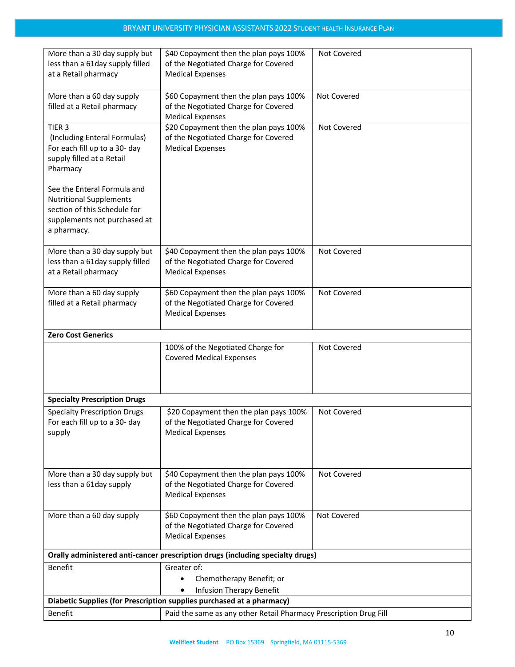| More than a 30 day supply but<br>less than a 61day supply filled                                                                             | \$40 Copayment then the plan pays 100%<br>of the Negotiated Charge for Covered                            | Not Covered |
|----------------------------------------------------------------------------------------------------------------------------------------------|-----------------------------------------------------------------------------------------------------------|-------------|
| at a Retail pharmacy                                                                                                                         | <b>Medical Expenses</b>                                                                                   |             |
| More than a 60 day supply<br>filled at a Retail pharmacy                                                                                     | \$60 Copayment then the plan pays 100%<br>of the Negotiated Charge for Covered<br><b>Medical Expenses</b> | Not Covered |
| TIER <sub>3</sub><br>(Including Enteral Formulas)<br>For each fill up to a 30- day<br>supply filled at a Retail<br>Pharmacy                  | \$20 Copayment then the plan pays 100%<br>of the Negotiated Charge for Covered<br><b>Medical Expenses</b> | Not Covered |
| See the Enteral Formula and<br><b>Nutritional Supplements</b><br>section of this Schedule for<br>supplements not purchased at<br>a pharmacy. |                                                                                                           |             |
| More than a 30 day supply but<br>less than a 61day supply filled<br>at a Retail pharmacy                                                     | \$40 Copayment then the plan pays 100%<br>of the Negotiated Charge for Covered<br><b>Medical Expenses</b> | Not Covered |
| More than a 60 day supply<br>filled at a Retail pharmacy                                                                                     | \$60 Copayment then the plan pays 100%<br>of the Negotiated Charge for Covered<br><b>Medical Expenses</b> | Not Covered |
| <b>Zero Cost Generics</b>                                                                                                                    |                                                                                                           |             |
|                                                                                                                                              | 100% of the Negotiated Charge for<br><b>Covered Medical Expenses</b>                                      | Not Covered |
| <b>Specialty Prescription Drugs</b>                                                                                                          |                                                                                                           |             |
| <b>Specialty Prescription Drugs</b><br>For each fill up to a 30- day<br>supply                                                               | \$20 Copayment then the plan pays 100%<br>of the Negotiated Charge for Covered<br><b>Medical Expenses</b> | Not Covered |
| More than a 30 day supply but<br>less than a 61day supply                                                                                    | \$40 Copayment then the plan pays 100%<br>of the Negotiated Charge for Covered<br><b>Medical Expenses</b> | Not Covered |
| More than a 60 day supply                                                                                                                    | \$60 Copayment then the plan pays 100%<br>of the Negotiated Charge for Covered<br><b>Medical Expenses</b> | Not Covered |
|                                                                                                                                              | Orally administered anti-cancer prescription drugs (including specialty drugs)                            |             |
| Benefit                                                                                                                                      | Greater of:                                                                                               |             |
|                                                                                                                                              | Chemotherapy Benefit; or                                                                                  |             |
|                                                                                                                                              | Infusion Therapy Benefit<br>Diabetic Supplies (for Prescription supplies purchased at a pharmacy)         |             |
| Benefit<br>Paid the same as any other Retail Pharmacy Prescription Drug Fill                                                                 |                                                                                                           |             |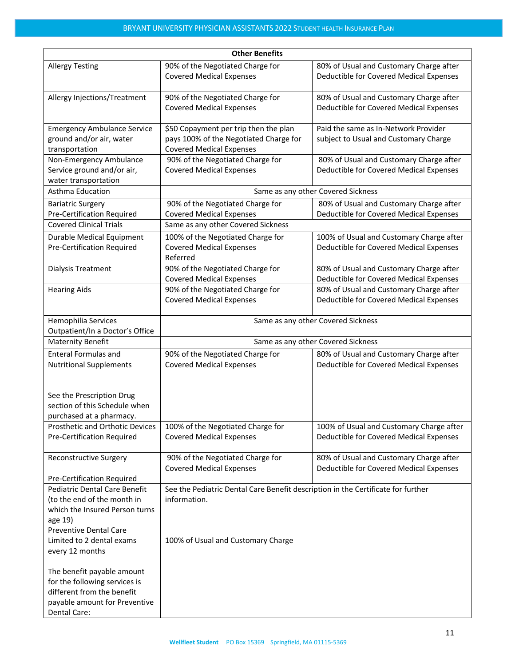| <b>Other Benefits</b>                                                                                                                                                                                                    |                                                                                                                                        |                                                                                     |  |  |
|--------------------------------------------------------------------------------------------------------------------------------------------------------------------------------------------------------------------------|----------------------------------------------------------------------------------------------------------------------------------------|-------------------------------------------------------------------------------------|--|--|
| <b>Allergy Testing</b>                                                                                                                                                                                                   | 90% of the Negotiated Charge for<br><b>Covered Medical Expenses</b>                                                                    | 80% of Usual and Customary Charge after<br>Deductible for Covered Medical Expenses  |  |  |
| Allergy Injections/Treatment                                                                                                                                                                                             | 90% of the Negotiated Charge for<br><b>Covered Medical Expenses</b>                                                                    | 80% of Usual and Customary Charge after<br>Deductible for Covered Medical Expenses  |  |  |
| <b>Emergency Ambulance Service</b><br>ground and/or air, water<br>transportation                                                                                                                                         | \$50 Copayment per trip then the plan<br>pays 100% of the Negotiated Charge for<br><b>Covered Medical Expenses</b>                     | Paid the same as In-Network Provider<br>subject to Usual and Customary Charge       |  |  |
| Non-Emergency Ambulance<br>Service ground and/or air,<br>water transportation                                                                                                                                            | 90% of the Negotiated Charge for<br><b>Covered Medical Expenses</b>                                                                    | 80% of Usual and Customary Charge after<br>Deductible for Covered Medical Expenses  |  |  |
| Asthma Education                                                                                                                                                                                                         |                                                                                                                                        | Same as any other Covered Sickness                                                  |  |  |
| <b>Bariatric Surgery</b><br><b>Pre-Certification Required</b>                                                                                                                                                            | 90% of the Negotiated Charge for<br><b>Covered Medical Expenses</b>                                                                    | 80% of Usual and Customary Charge after<br>Deductible for Covered Medical Expenses  |  |  |
| <b>Covered Clinical Trials</b>                                                                                                                                                                                           | Same as any other Covered Sickness                                                                                                     |                                                                                     |  |  |
| <b>Durable Medical Equipment</b><br><b>Pre-Certification Required</b>                                                                                                                                                    | 100% of the Negotiated Charge for<br><b>Covered Medical Expenses</b><br>Referred                                                       | 100% of Usual and Customary Charge after<br>Deductible for Covered Medical Expenses |  |  |
| Dialysis Treatment                                                                                                                                                                                                       | 90% of the Negotiated Charge for<br><b>Covered Medical Expenses</b>                                                                    | 80% of Usual and Customary Charge after<br>Deductible for Covered Medical Expenses  |  |  |
| <b>Hearing Aids</b>                                                                                                                                                                                                      | 90% of the Negotiated Charge for<br><b>Covered Medical Expenses</b>                                                                    | 80% of Usual and Customary Charge after<br>Deductible for Covered Medical Expenses  |  |  |
| Hemophilia Services<br>Outpatient/In a Doctor's Office                                                                                                                                                                   | Same as any other Covered Sickness                                                                                                     |                                                                                     |  |  |
| <b>Maternity Benefit</b>                                                                                                                                                                                                 | Same as any other Covered Sickness                                                                                                     |                                                                                     |  |  |
| <b>Enteral Formulas and</b><br><b>Nutritional Supplements</b>                                                                                                                                                            | 90% of the Negotiated Charge for<br><b>Covered Medical Expenses</b>                                                                    | 80% of Usual and Customary Charge after<br>Deductible for Covered Medical Expenses  |  |  |
| See the Prescription Drug<br>section of this Schedule when<br>purchased at a pharmacy.                                                                                                                                   |                                                                                                                                        |                                                                                     |  |  |
| Prosthetic and Orthotic Devices<br>Pre-Certification Required                                                                                                                                                            | 100% of the Negotiated Charge for<br><b>Covered Medical Expenses</b>                                                                   | 100% of Usual and Customary Charge after<br>Deductible for Covered Medical Expenses |  |  |
| <b>Reconstructive Surgery</b>                                                                                                                                                                                            | 90% of the Negotiated Charge for<br><b>Covered Medical Expenses</b>                                                                    | 80% of Usual and Customary Charge after<br>Deductible for Covered Medical Expenses  |  |  |
| Pre-Certification Required<br>Pediatric Dental Care Benefit<br>(to the end of the month in<br>which the Insured Person turns<br>age 19)<br><b>Preventive Dental Care</b><br>Limited to 2 dental exams<br>every 12 months | See the Pediatric Dental Care Benefit description in the Certificate for further<br>information.<br>100% of Usual and Customary Charge |                                                                                     |  |  |
| The benefit payable amount<br>for the following services is<br>different from the benefit<br>payable amount for Preventive<br>Dental Care:                                                                               |                                                                                                                                        |                                                                                     |  |  |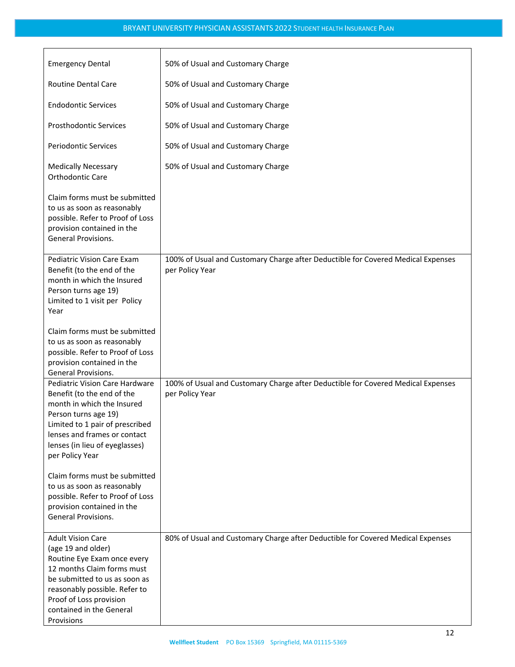| <b>Emergency Dental</b>                                                                                                                                                                                                                            | 50% of Usual and Customary Charge                                                                   |
|----------------------------------------------------------------------------------------------------------------------------------------------------------------------------------------------------------------------------------------------------|-----------------------------------------------------------------------------------------------------|
| <b>Routine Dental Care</b>                                                                                                                                                                                                                         | 50% of Usual and Customary Charge                                                                   |
| <b>Endodontic Services</b>                                                                                                                                                                                                                         | 50% of Usual and Customary Charge                                                                   |
| <b>Prosthodontic Services</b>                                                                                                                                                                                                                      | 50% of Usual and Customary Charge                                                                   |
| <b>Periodontic Services</b>                                                                                                                                                                                                                        | 50% of Usual and Customary Charge                                                                   |
| <b>Medically Necessary</b><br>Orthodontic Care                                                                                                                                                                                                     | 50% of Usual and Customary Charge                                                                   |
| Claim forms must be submitted<br>to us as soon as reasonably<br>possible. Refer to Proof of Loss<br>provision contained in the<br>General Provisions.                                                                                              |                                                                                                     |
| Pediatric Vision Care Exam<br>Benefit (to the end of the<br>month in which the Insured<br>Person turns age 19)<br>Limited to 1 visit per Policy<br>Year                                                                                            | 100% of Usual and Customary Charge after Deductible for Covered Medical Expenses<br>per Policy Year |
| Claim forms must be submitted<br>to us as soon as reasonably<br>possible. Refer to Proof of Loss<br>provision contained in the<br><b>General Provisions.</b>                                                                                       |                                                                                                     |
| Pediatric Vision Care Hardware<br>Benefit (to the end of the<br>month in which the Insured<br>Person turns age 19)<br>Limited to 1 pair of prescribed<br>lenses and frames or contact<br>lenses (in lieu of eyeglasses)<br>per Policy Year         | 100% of Usual and Customary Charge after Deductible for Covered Medical Expenses<br>per Policy Year |
| Claim forms must be submitted<br>to us as soon as reasonably<br>possible. Refer to Proof of Loss<br>provision contained in the<br>General Provisions.                                                                                              |                                                                                                     |
| <b>Adult Vision Care</b><br>(age 19 and older)<br>Routine Eye Exam once every<br>12 months Claim forms must<br>be submitted to us as soon as<br>reasonably possible. Refer to<br>Proof of Loss provision<br>contained in the General<br>Provisions | 80% of Usual and Customary Charge after Deductible for Covered Medical Expenses                     |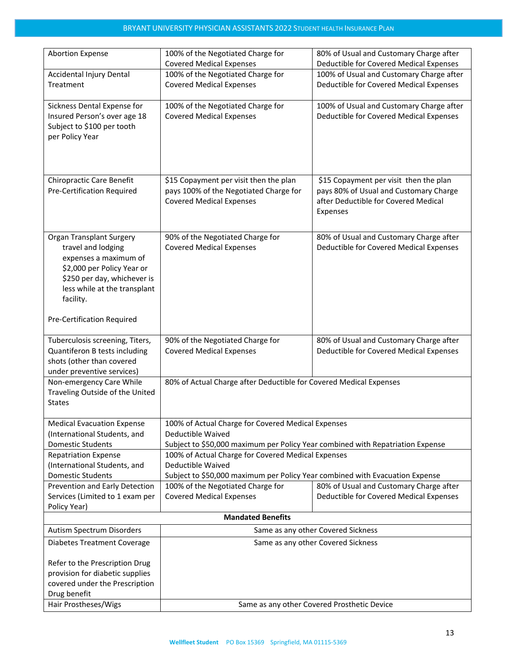| <b>Abortion Expense</b>                                                                                                                                                                  | 100% of the Negotiated Charge for                                                                                   | 80% of Usual and Customary Charge after                                                                                              |
|------------------------------------------------------------------------------------------------------------------------------------------------------------------------------------------|---------------------------------------------------------------------------------------------------------------------|--------------------------------------------------------------------------------------------------------------------------------------|
|                                                                                                                                                                                          | <b>Covered Medical Expenses</b>                                                                                     | Deductible for Covered Medical Expenses                                                                                              |
| Accidental Injury Dental                                                                                                                                                                 | 100% of the Negotiated Charge for                                                                                   | 100% of Usual and Customary Charge after                                                                                             |
| Treatment                                                                                                                                                                                | <b>Covered Medical Expenses</b>                                                                                     | Deductible for Covered Medical Expenses                                                                                              |
| Sickness Dental Expense for<br>Insured Person's over age 18<br>Subject to \$100 per tooth<br>per Policy Year                                                                             | 100% of the Negotiated Charge for<br><b>Covered Medical Expenses</b>                                                | 100% of Usual and Customary Charge after<br>Deductible for Covered Medical Expenses                                                  |
|                                                                                                                                                                                          |                                                                                                                     |                                                                                                                                      |
| Chiropractic Care Benefit<br>Pre-Certification Required                                                                                                                                  | \$15 Copayment per visit then the plan<br>pays 100% of the Negotiated Charge for<br><b>Covered Medical Expenses</b> | \$15 Copayment per visit then the plan<br>pays 80% of Usual and Customary Charge<br>after Deductible for Covered Medical<br>Expenses |
| <b>Organ Transplant Surgery</b><br>travel and lodging<br>expenses a maximum of<br>\$2,000 per Policy Year or<br>\$250 per day, whichever is<br>less while at the transplant<br>facility. | 90% of the Negotiated Charge for<br><b>Covered Medical Expenses</b>                                                 | 80% of Usual and Customary Charge after<br>Deductible for Covered Medical Expenses                                                   |
| Pre-Certification Required                                                                                                                                                               |                                                                                                                     |                                                                                                                                      |
| Tuberculosis screening, Titers,<br>Quantiferon B tests including<br>shots (other than covered<br>under preventive services)                                                              | 90% of the Negotiated Charge for<br><b>Covered Medical Expenses</b>                                                 | 80% of Usual and Customary Charge after<br>Deductible for Covered Medical Expenses                                                   |
| Non-emergency Care While<br>Traveling Outside of the United<br><b>States</b>                                                                                                             | 80% of Actual Charge after Deductible for Covered Medical Expenses                                                  |                                                                                                                                      |
| <b>Medical Evacuation Expense</b>                                                                                                                                                        | 100% of Actual Charge for Covered Medical Expenses                                                                  |                                                                                                                                      |
| (International Students, and                                                                                                                                                             | Deductible Waived                                                                                                   |                                                                                                                                      |
| <b>Domestic Students</b>                                                                                                                                                                 | Subject to \$50,000 maximum per Policy Year combined with Repatriation Expense                                      |                                                                                                                                      |
| <b>Repatriation Expense</b>                                                                                                                                                              | 100% of Actual Charge for Covered Medical Expenses                                                                  |                                                                                                                                      |
| (International Students, and                                                                                                                                                             | Deductible Waived                                                                                                   |                                                                                                                                      |
| <b>Domestic Students</b>                                                                                                                                                                 | Subject to \$50,000 maximum per Policy Year combined with Evacuation Expense                                        |                                                                                                                                      |
| Prevention and Early Detection                                                                                                                                                           | 100% of the Negotiated Charge for                                                                                   | 80% of Usual and Customary Charge after                                                                                              |
| Services (Limited to 1 exam per                                                                                                                                                          | <b>Covered Medical Expenses</b>                                                                                     | Deductible for Covered Medical Expenses                                                                                              |
| Policy Year)                                                                                                                                                                             |                                                                                                                     |                                                                                                                                      |
| <b>Mandated Benefits</b>                                                                                                                                                                 |                                                                                                                     |                                                                                                                                      |
| Autism Spectrum Disorders                                                                                                                                                                | Same as any other Covered Sickness                                                                                  |                                                                                                                                      |
| <b>Diabetes Treatment Coverage</b>                                                                                                                                                       | Same as any other Covered Sickness                                                                                  |                                                                                                                                      |
| Refer to the Prescription Drug                                                                                                                                                           |                                                                                                                     |                                                                                                                                      |
| provision for diabetic supplies                                                                                                                                                          |                                                                                                                     |                                                                                                                                      |
| covered under the Prescription                                                                                                                                                           |                                                                                                                     |                                                                                                                                      |
| Drug benefit                                                                                                                                                                             |                                                                                                                     |                                                                                                                                      |
| Hair Prostheses/Wigs                                                                                                                                                                     |                                                                                                                     | Same as any other Covered Prosthetic Device                                                                                          |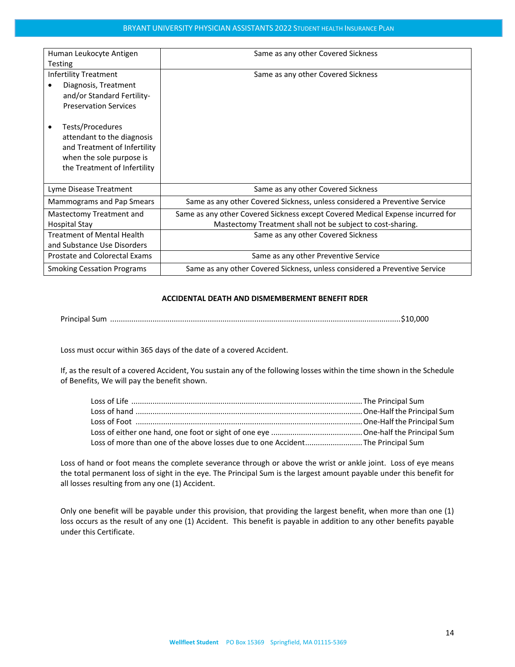| Human Leukocyte Antigen           | Same as any other Covered Sickness                                             |  |
|-----------------------------------|--------------------------------------------------------------------------------|--|
| <b>Testing</b>                    |                                                                                |  |
| <b>Infertility Treatment</b>      | Same as any other Covered Sickness                                             |  |
| Diagnosis, Treatment              |                                                                                |  |
| and/or Standard Fertility-        |                                                                                |  |
| <b>Preservation Services</b>      |                                                                                |  |
|                                   |                                                                                |  |
| Tests/Procedures                  |                                                                                |  |
| attendant to the diagnosis        |                                                                                |  |
| and Treatment of Infertility      |                                                                                |  |
| when the sole purpose is          |                                                                                |  |
| the Treatment of Infertility      |                                                                                |  |
|                                   |                                                                                |  |
| Lyme Disease Treatment            | Same as any other Covered Sickness                                             |  |
| Mammograms and Pap Smears         | Same as any other Covered Sickness, unless considered a Preventive Service     |  |
| Mastectomy Treatment and          | Same as any other Covered Sickness except Covered Medical Expense incurred for |  |
| Hospital Stay                     | Mastectomy Treatment shall not be subject to cost-sharing.                     |  |
| <b>Treatment of Mental Health</b> | Same as any other Covered Sickness                                             |  |
| and Substance Use Disorders       |                                                                                |  |
| Prostate and Colorectal Exams     | Same as any other Preventive Service                                           |  |
| <b>Smoking Cessation Programs</b> | Same as any other Covered Sickness, unless considered a Preventive Service     |  |

#### **ACCIDENTAL DEATH AND DISMEMBERMENT BENEFIT RDER**

Principal Sum .........................................................................................................................................\$10,000

Loss must occur within 365 days of the date of a covered Accident.

If, as the result of a covered Accident, You sustain any of the following losses within the time shown in the Schedule of Benefits, We will pay the benefit shown.

| Loss of more than one of the above losses due to one Accident The Principal Sum |  |
|---------------------------------------------------------------------------------|--|

Loss of hand or foot means the complete severance through or above the wrist or ankle joint. Loss of eye means the total permanent loss of sight in the eye. The Principal Sum is the largest amount payable under this benefit for all losses resulting from any one (1) Accident.

Only one benefit will be payable under this provision, that providing the largest benefit, when more than one (1) loss occurs as the result of any one (1) Accident. This benefit is payable in addition to any other benefits payable under this Certificate.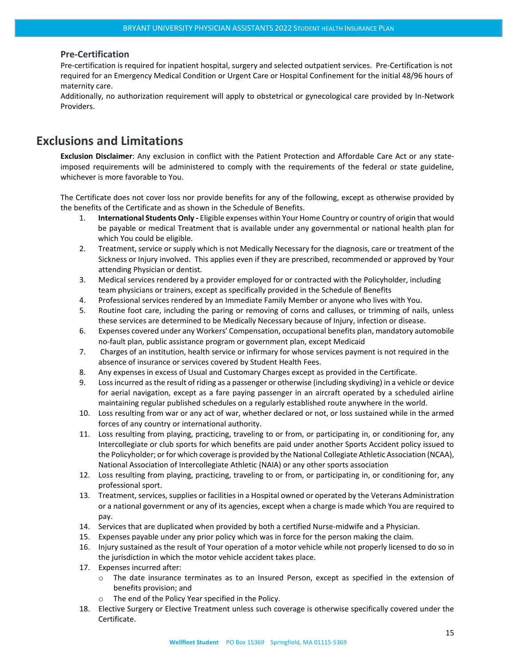#### <span id="page-14-0"></span>**Pre-Certification**

Pre-certification is required for inpatient hospital, surgery and selected outpatient services. Pre-Certification is not required for an Emergency Medical Condition or Urgent Care or Hospital Confinement for the initial 48/96 hours of maternity care.

Additionally, no authorization requirement will apply to obstetrical or gynecological care provided by In-Network Providers.

## <span id="page-14-1"></span>**Exclusions and Limitations**

**Exclusion Disclaimer**: Any exclusion in conflict with the Patient Protection and Affordable Care Act or any stateimposed requirements will be administered to comply with the requirements of the federal or state guideline, whichever is more favorable to You.

The Certificate does not cover loss nor provide benefits for any of the following, except as otherwise provided by the benefits of the Certificate and as shown in the Schedule of Benefits.

- 1. **International Students Only -** Eligible expenses within Your Home Country or country of origin that would be payable or medical Treatment that is available under any governmental or national health plan for which You could be eligible.
- 2. Treatment, service or supply which is not Medically Necessary for the diagnosis, care or treatment of the Sickness or Injury involved. This applies even if they are prescribed, recommended or approved by Your attending Physician or dentist.
- 3. Medical services rendered by a provider employed for or contracted with the Policyholder, including team physicians or trainers, except as specifically provided in the Schedule of Benefits
- 4. Professional services rendered by an Immediate Family Member or anyone who lives with You.
- 5. Routine foot care, including the paring or removing of corns and calluses, or trimming of nails, unless these services are determined to be Medically Necessary because of Injury, infection or disease.
- 6. Expenses covered under any Workers' Compensation, occupational benefits plan, mandatory automobile no-fault plan, public assistance program or government plan, except Medicaid
- 7. Charges of an institution, health service or infirmary for whose services payment is not required in the absence of insurance or services covered by Student Health Fees.
- 8. Any expenses in excess of Usual and Customary Charges except as provided in the Certificate.
- 9. Loss incurred as the result of riding as a passenger or otherwise (including skydiving) in a vehicle or device for aerial navigation, except as a fare paying passenger in an aircraft operated by a scheduled airline maintaining regular published schedules on a regularly established route anywhere in the world.
- 10. Loss resulting from war or any act of war, whether declared or not, or loss sustained while in the armed forces of any country or international authority.
- 11. Loss resulting from playing, practicing, traveling to or from, or participating in, or conditioning for, any Intercollegiate or club sports for which benefits are paid under another Sports Accident policy issued to the Policyholder; or for which coverage is provided by the National Collegiate Athletic Association (NCAA), National Association of Intercollegiate Athletic (NAIA) or any other sports association
- 12. Loss resulting from playing, practicing, traveling to or from, or participating in, or conditioning for, any professional sport.
- 13. Treatment, services, supplies or facilities in a Hospital owned or operated by the Veterans Administration or a national government or any of its agencies, except when a charge is made which You are required to pay.
- 14. Services that are duplicated when provided by both a certified Nurse-midwife and a Physician.
- 15. Expenses payable under any prior policy which was in force for the person making the claim.
- 16. Injury sustained as the result of Your operation of a motor vehicle while not properly licensed to do so in the jurisdiction in which the motor vehicle accident takes place.
- 17. Expenses incurred after:
	- o The date insurance terminates as to an Insured Person, except as specified in the extension of benefits provision; and
	- o The end of the Policy Year specified in the Policy.
- 18. Elective Surgery or Elective Treatment unless such coverage is otherwise specifically covered under the Certificate.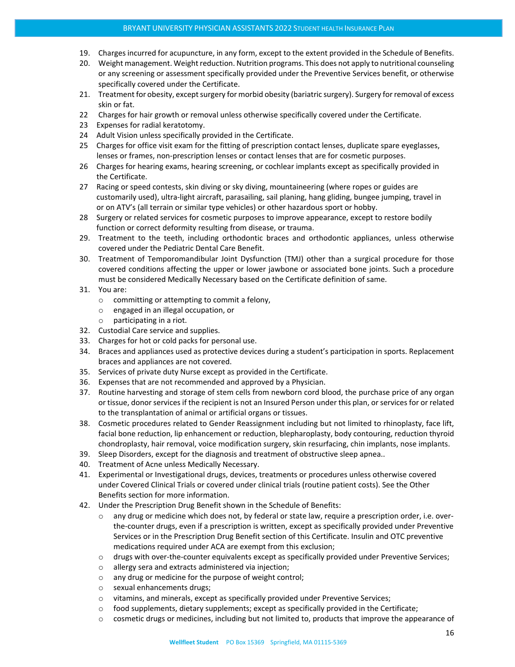- 19. Charges incurred for acupuncture, in any form, except to the extent provided in the Schedule of Benefits.
- 20. Weight management. Weight reduction. Nutrition programs. This does not apply to nutritional counseling or any screening or assessment specifically provided under the Preventive Services benefit, or otherwise specifically covered under the Certificate.
- 21. Treatment for obesity, except surgery for morbid obesity (bariatric surgery). Surgery for removal of excess skin or fat.
- 22 Charges for hair growth or removal unless otherwise specifically covered under the Certificate.
- 23 Expenses for radial keratotomy.
- 24 Adult Vision unless specifically provided in the Certificate.
- 25 Charges for office visit exam for the fitting of prescription contact lenses, duplicate spare eyeglasses, lenses or frames, non-prescription lenses or contact lenses that are for cosmetic purposes.
- 26 Charges for hearing exams, hearing screening, or cochlear implants except as specifically provided in the Certificate.
- 27 Racing or speed contests, skin diving or sky diving, mountaineering (where ropes or guides are customarily used), ultra-light aircraft, parasailing, sail planing, hang gliding, bungee jumping, travel in or on ATV's (all terrain or similar type vehicles) or other hazardous sport or hobby.
- 28 Surgery or related services for cosmetic purposes to improve appearance, except to restore bodily function or correct deformity resulting from disease, or trauma.
- 29. Treatment to the teeth, including orthodontic braces and orthodontic appliances, unless otherwise covered under the Pediatric Dental Care Benefit.
- 30. Treatment of Temporomandibular Joint Dysfunction (TMJ) other than a surgical procedure for those covered conditions affecting the upper or lower jawbone or associated bone joints. Such a procedure must be considered Medically Necessary based on the Certificate definition of same.
- 31. You are:
	- o committing or attempting to commit a felony,
	- o engaged in an illegal occupation, or
	- o participating in a riot.
- 32. Custodial Care service and supplies.
- 33. Charges for hot or cold packs for personal use.
- 34. Braces and appliances used as protective devices during a student's participation in sports. Replacement braces and appliances are not covered.
- 35. Services of private duty Nurse except as provided in the Certificate.
- 36. Expenses that are not recommended and approved by a Physician.
- 37. Routine harvesting and storage of stem cells from newborn cord blood, the purchase price of any organ or tissue, donor services if the recipient is not an Insured Person under this plan, or services for or related to the transplantation of animal or artificial organs or tissues.
- 38. Cosmetic procedures related to Gender Reassignment including but not limited to rhinoplasty, face lift, facial bone reduction, lip enhancement or reduction, blepharoplasty, body contouring, reduction thyroid chondroplasty, hair removal, voice modification surgery, skin resurfacing, chin implants, nose implants.
- 39. Sleep Disorders, except for the diagnosis and treatment of obstructive sleep apnea..
- 40. Treatment of Acne unless Medically Necessary.
- 41. Experimental or Investigational drugs, devices, treatments or procedures unless otherwise covered under Covered Clinical Trials or covered under clinical trials (routine patient costs). See the Other Benefits section for more information.
- 42. Under the Prescription Drug Benefit shown in the Schedule of Benefits:
	- o any drug or medicine which does not, by federal or state law, require a prescription order, i.e. overthe-counter drugs, even if a prescription is written, except as specifically provided under Preventive Services or in the Prescription Drug Benefit section of this Certificate. Insulin and OTC preventive medications required under ACA are exempt from this exclusion;
	- $\circ$  drugs with over-the-counter equivalents except as specifically provided under Preventive Services;
	- o allergy sera and extracts administered via injection;
	- o any drug or medicine for the purpose of weight control;
	- o sexual enhancements drugs;
	- o vitamins, and minerals, except as specifically provided under Preventive Services;
	- $\circ$  food supplements, dietary supplements; except as specifically provided in the Certificate;
	- o cosmetic drugs or medicines, including but not limited to, products that improve the appearance of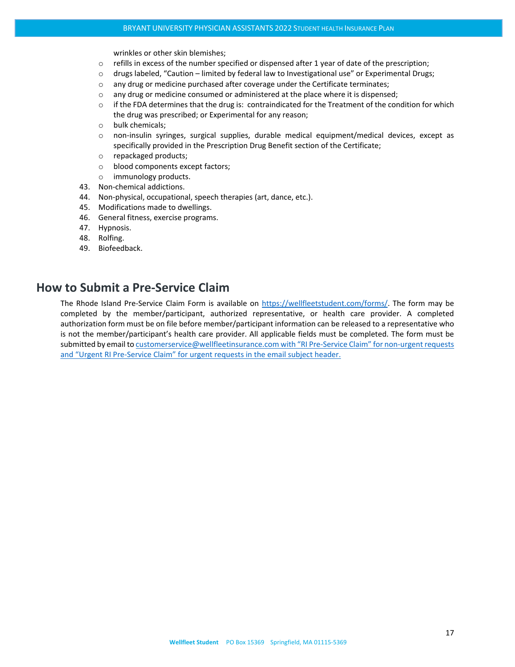wrinkles or other skin blemishes;

- $\circ$  refills in excess of the number specified or dispensed after 1 year of date of the prescription;
- o drugs labeled, "Caution limited by federal law to Investigational use" or Experimental Drugs;
- o any drug or medicine purchased after coverage under the Certificate terminates;
- $\circ$  any drug or medicine consumed or administered at the place where it is dispensed;
- $\circ$  if the FDA determines that the drug is: contraindicated for the Treatment of the condition for which the drug was prescribed; or Experimental for any reason;
- o bulk chemicals;
- o non-insulin syringes, surgical supplies, durable medical equipment/medical devices, except as specifically provided in the Prescription Drug Benefit section of the Certificate;
- o repackaged products;
- o blood components except factors;
- o immunology products.
- 43. Non-chemical addictions.
- 44. Non-physical, occupational, speech therapies (art, dance, etc.).
- 45. Modifications made to dwellings.
- 46. General fitness, exercise programs.
- 47. Hypnosis.
- 48. Rolfing.
- 49. Biofeedback.

## <span id="page-16-0"></span>**How to Submit a Pre-Service Claim**

The Rhode Island Pre-Service Claim Form is available on [https://wellfleetstudent.com/forms/.](https://wellfleetstudent.com/forms/) The form may be completed by the member/participant, authorized representative, or health care provider. A completed authorization form must be on file before member/participant information can be released to a representative who is not the member/participant's health care provider. All applicable fields must be completed. The form must be submitted by email t[o customerservice@wellfleetinsurance.com](mailto:customerservice@wellfleetinsurance.com) with "RI Pre-Service Claim" for non-urgent requests and "Urgent RI Pre-Service Claim" for urgent requests in the email subject header.